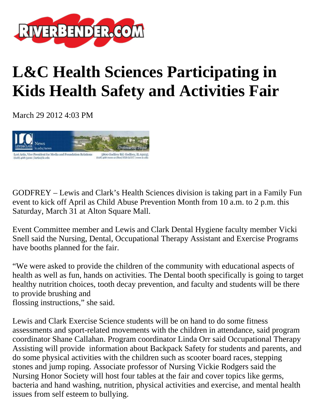

## **L&C Health Sciences Participating in Kids Health Safety and Activities Fair**

March 29 2012 4:03 PM



GODFREY – Lewis and Clark's Health Sciences division is taking part in a Family Fun event to kick off April as Child Abuse Prevention Month from 10 a.m. to 2 p.m. this Saturday, March 31 at Alton Square Mall.

Event Committee member and Lewis and Clark Dental Hygiene faculty member Vicki Snell said the Nursing, Dental, Occupational Therapy Assistant and Exercise Programs have booths planned for the fair.

"We were asked to provide the children of the community with educational aspects of health as well as fun, hands on activities. The Dental booth specifically is going to target healthy nutrition choices, tooth decay prevention, and faculty and students will be there to provide brushing and flossing instructions," she said.

Lewis and Clark Exercise Science students will be on hand to do some fitness assessments and sport-related movements with the children in attendance, said program coordinator Shane Callahan. Program coordinator Linda Orr said Occupational Therapy Assisting will provide information about Backpack Safety for students and parents, and do some physical activities with the children such as scooter board races, stepping stones and jump roping. Associate professor of Nursing Vickie Rodgers said the Nursing Honor Society will host four tables at the fair and cover topics like germs, bacteria and hand washing, nutrition, physical activities and exercise, and mental health issues from self esteem to bullying.